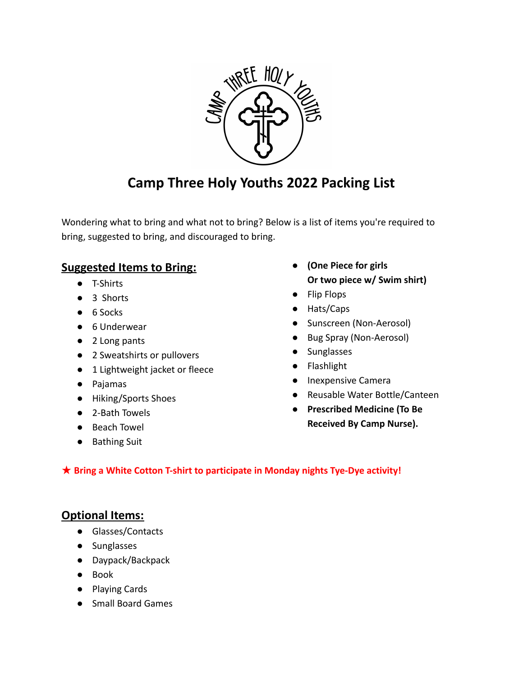

# **Camp Three Holy Youths 2022 Packing List**

Wondering what to bring and what not to bring? Below is a list of items you're required to bring, suggested to bring, and discouraged to bring.

### **Suggested Items to Bring:**

- T-Shirts
- 3 Shorts
- 6 Socks
- 6 Underwear
- 2 Long pants
- 2 Sweatshirts or pullovers
- 1 Lightweight jacket or fleece
- Pajamas
- Hiking/Sports Shoes
- 2-Bath Towels
- Beach Towel
- Bathing Suit
- **(One Piece for girls Or two piece w/ Swim shirt)**
- Flip Flops
- Hats/Caps
- Sunscreen (Non-Aerosol)
- Bug Spray (Non-Aerosol)
- Sunglasses
- Flashlight
- Inexpensive Camera
- Reusable Water Bottle/Canteen
- **● Prescribed Medicine (To Be Received By Camp Nurse).**

#### ★ **Bring a White Cotton T-shirt to participate in Monday nights Tye-Dye activity!**

#### **Optional Items:**

- Glasses/Contacts
- Sunglasses
- Daypack/Backpack
- Book
- Playing Cards
- Small Board Games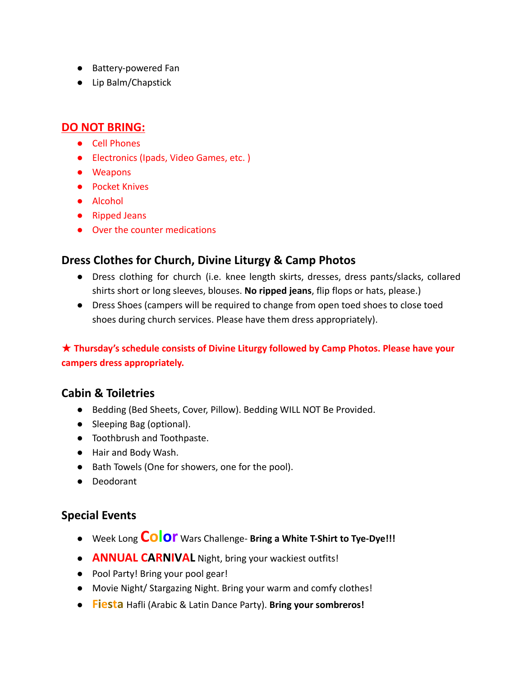- Battery-powered Fan
- Lip Balm/Chapstick

#### **DO NOT BRING:**

- Cell Phones
- Electronics (Ipads, Video Games, etc. )
- Weapons
- Pocket Knives
- Alcohol
- Ripped Jeans
- Over the counter medications

### **Dress Clothes for Church, Divine Liturgy & Camp Photos**

- Dress clothing for church (i.e. knee length skirts, dresses, dress pants/slacks, collared shirts short or long sleeves, blouses. **No ripped jeans**, flip flops or hats, please.)
- Dress Shoes (campers will be required to change from open toed shoes to close toed shoes during church services. Please have them dress appropriately).

#### ★ **Thursday's schedule consists of Divine Liturgy followed by Camp Photos. Please have your campers dress appropriately.**

#### **Cabin & Toiletries**

- Bedding (Bed Sheets, Cover, Pillow). Bedding WILL NOT Be Provided.
- Sleeping Bag (optional).
- Toothbrush and Toothpaste.
- Hair and Body Wash.
- Bath Towels (One for showers, one for the pool).
- Deodorant

#### **Special Events**

- Week Long **Color** Wars Challenge- **Bring a White T-Shirt to Tye-Dye!!!**
- **ANNUAL CARNIVAL** Night, bring your wackiest outfits!
- Pool Party! Bring your pool gear!
- Movie Night/ Stargazing Night. Bring your warm and comfy clothes!
- **Fiesta** Hafli (Arabic & Latin Dance Party). **Bring your sombreros!**